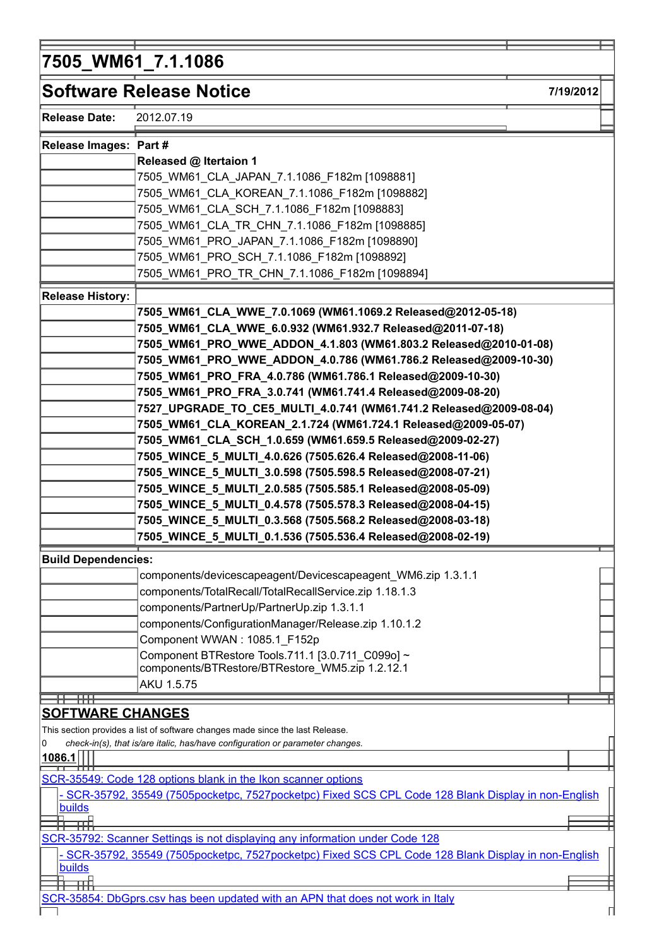## 7505\_WM61\_7.1.1086

|                            | <b>Software Release Notice</b>                                                                      | 7/19/2012 |  |
|----------------------------|-----------------------------------------------------------------------------------------------------|-----------|--|
| <b>Release Date:</b>       | 2012.07.19                                                                                          |           |  |
| Release Images: Part #     |                                                                                                     |           |  |
|                            | Released @ Itertaion 1                                                                              |           |  |
|                            | 7505_WM61_CLA_JAPAN_7.1.1086_F182m [1098881]                                                        |           |  |
|                            | 7505_WM61_CLA_KOREAN_7.1.1086_F182m [1098882]                                                       |           |  |
|                            | 7505_WM61_CLA_SCH_7.1.1086_F182m [1098883]                                                          |           |  |
|                            | 7505 WM61 CLA TR CHN 7.1.1086 F182m [1098885]                                                       |           |  |
|                            | 7505_WM61_PRO_JAPAN_7.1.1086_F182m [1098890]                                                        |           |  |
|                            | 7505_WM61_PRO_SCH_7.1.1086_F182m [1098892]                                                          |           |  |
|                            | 7505_WM61_PRO_TR_CHN_7.1.1086_F182m [1098894]                                                       |           |  |
|                            |                                                                                                     |           |  |
| <b>Release History:</b>    |                                                                                                     |           |  |
|                            | 7505_WM61_CLA_WWE_7.0.1069 (WM61.1069.2 Released@2012-05-18)                                        |           |  |
|                            | 7505_WM61_CLA_WWE_6.0.932 (WM61.932.7 Released@2011-07-18)                                          |           |  |
|                            | 7505_WM61_PRO_WWE_ADDON_4.1.803 (WM61.803.2 Released@2010-01-08)                                    |           |  |
|                            | 7505_WM61_PRO_WWE_ADDON_4.0.786 (WM61.786.2 Released@2009-10-30)                                    |           |  |
|                            | 7505_WM61_PRO_FRA_4.0.786 (WM61.786.1 Released@2009-10-30)                                          |           |  |
|                            | 7505_WM61_PRO_FRA_3.0.741 (WM61.741.4 Released@2009-08-20)                                          |           |  |
|                            | 7527_UPGRADE_TO_CE5_MULTI_4.0.741 (WM61.741.2 Released@2009-08-04)                                  |           |  |
|                            | 7505_WM61_CLA_KOREAN_2.1.724 (WM61.724.1 Released@2009-05-07)                                       |           |  |
|                            | 7505_WM61_CLA_SCH_1.0.659 (WM61.659.5 Released@2009-02-27)                                          |           |  |
|                            | 7505_WINCE_5_MULTI_4.0.626 (7505.626.4 Released@2008-11-06)                                         |           |  |
|                            | 7505_WINCE_5_MULTI_3.0.598 (7505.598.5 Released@2008-07-21)                                         |           |  |
|                            | 7505_WINCE_5_MULTI_2.0.585 (7505.585.1 Released@2008-05-09)                                         |           |  |
|                            | 7505_WINCE_5_MULTI_0.4.578 (7505.578.3 Released@2008-04-15)                                         |           |  |
|                            | 7505_WINCE_5_MULTI_0.3.568 (7505.568.2 Released@2008-03-18)                                         |           |  |
|                            | 7505_WINCE_5_MULTI_0.1.536 (7505.536.4 Released@2008-02-19)                                         |           |  |
| <b>Build Dependencies:</b> |                                                                                                     |           |  |
|                            | components/devicescapeagent/Devicescapeagent_WM6.zip 1.3.1.1                                        |           |  |
|                            | components/TotalRecall/TotalRecallService.zip 1.18.1.3                                              |           |  |
|                            | components/PartnerUp/PartnerUp.zip 1.3.1.1                                                          |           |  |
|                            | components/ConfigurationManager/Release.zip 1.10.1.2                                                |           |  |
|                            | Component WWAN: 1085.1 F152p                                                                        |           |  |
|                            | Component BTRestore Tools.711.1 [3.0.711 C099o] ~                                                   |           |  |
|                            | components/BTRestore/BTRestore_WM5.zip 1.2.12.1                                                     |           |  |
|                            | AKU 1.5.75                                                                                          |           |  |
|                            |                                                                                                     |           |  |
| <b>SOFTWARE CHANGES</b>    |                                                                                                     |           |  |
|                            | This section provides a list of software changes made since the last Release.                       |           |  |
| 0                          | check-in(s), that is/are italic, has/have configuration or parameter changes.                       |           |  |
| <u>1086.1</u>              |                                                                                                     |           |  |
|                            | SCR-35549: Code 128 options blank in the Ikon scanner options                                       |           |  |
|                            | - SCR-35792, 35549 (7505pocketpc, 7527pocketpc) Fixed SCS CPL Code 128 Blank Display in non-English |           |  |
| <b>builds</b>              |                                                                                                     |           |  |
| œB                         |                                                                                                     |           |  |
|                            | SCR-35792: Scanner Settings is not displaying any information under Code 128                        |           |  |
|                            | - SCR-35792, 35549 (7505pocketpc, 7527pocketpc) Fixed SCS CPL Code 128 Blank Display in non-English |           |  |
| <b>builds</b>              |                                                                                                     |           |  |
| ᇳ                          |                                                                                                     |           |  |
|                            | SCR-35854: DbGprs.csv has been updated with an APN that does not work in Italy                      |           |  |